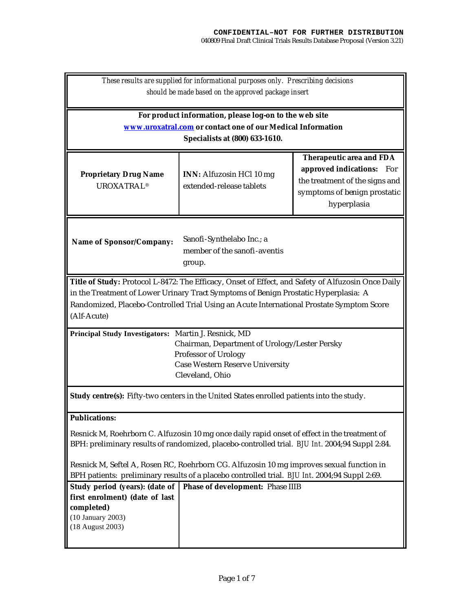| These results are supplied for informational purposes only. Prescribing decisions<br>should be made based on the approved package insert                                                       |                                                             |                                                                                                                                               |  |
|------------------------------------------------------------------------------------------------------------------------------------------------------------------------------------------------|-------------------------------------------------------------|-----------------------------------------------------------------------------------------------------------------------------------------------|--|
| For product information, please log-on to the web site                                                                                                                                         |                                                             |                                                                                                                                               |  |
| www.uroxatral.com or contact one of our Medical Information                                                                                                                                    |                                                             |                                                                                                                                               |  |
| Specialists at (800) 633-1610.                                                                                                                                                                 |                                                             |                                                                                                                                               |  |
| <b>Proprietary Drug Name</b><br><b>UROXATRAL®</b>                                                                                                                                              | <b>INN:</b> Alfuzosin HCl 10 mg<br>extended-release tablets | <b>Therapeutic area and FDA</b><br>approved indications: For<br>the treatment of the signs and<br>symptoms of benign prostatic<br>hyperplasia |  |
| Sanofi-Synthelabo Inc.; a<br><b>Name of Sponsor/Company:</b><br>member of the sanofi-aventis<br>group.                                                                                         |                                                             |                                                                                                                                               |  |
| Title of Study: Protocol L-8472: The Efficacy, Onset of Effect, and Safety of Alfuzosin Once Daily                                                                                             |                                                             |                                                                                                                                               |  |
| in the Treatment of Lower Urinary Tract Symptoms of Benign Prostatic Hyperplasia: A                                                                                                            |                                                             |                                                                                                                                               |  |
| Randomized, Placebo-Controlled Trial Using an Acute International Prostate Symptom Score                                                                                                       |                                                             |                                                                                                                                               |  |
| (Alf-Acute)                                                                                                                                                                                    |                                                             |                                                                                                                                               |  |
| Principal Study Investigators: Martin J. Resnick, MD<br>Chairman, Department of Urology/Lester Persky                                                                                          |                                                             |                                                                                                                                               |  |
|                                                                                                                                                                                                | Professor of Urology                                        |                                                                                                                                               |  |
|                                                                                                                                                                                                | <b>Case Western Reserve University</b><br>Cleveland, Ohio   |                                                                                                                                               |  |
|                                                                                                                                                                                                |                                                             |                                                                                                                                               |  |
| <b>Study centre(s):</b> Fifty-two centers in the United States enrolled patients into the study.                                                                                               |                                                             |                                                                                                                                               |  |
| <b>Publications:</b>                                                                                                                                                                           |                                                             |                                                                                                                                               |  |
| Resnick M, Roehrborn C. Alfuzosin 10 mg once daily rapid onset of effect in the treatment of<br>BPH: preliminary results of randomized, placebo-controlled trial. BJU Int. 2004;94 Suppl 2:84. |                                                             |                                                                                                                                               |  |
| Resnick M, Seftel A, Rosen RC, Roehrborn CG. Alfuzosin 10 mg improves sexual function in<br>BPH patients: preliminary results of a placebo controlled trial. BJU Int. 2004;94 Suppl 2:69.      |                                                             |                                                                                                                                               |  |
| Study period (years): (date of<br>first enrolment) (date of last<br>completed)<br>(10 January 2003)<br>(18 August 2003)                                                                        | <b>Phase of development: Phase IIIB</b>                     |                                                                                                                                               |  |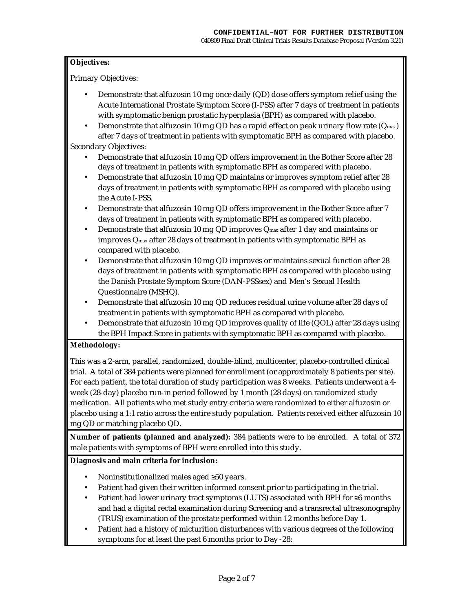## **Objectives:**

Primary Objectives:

- Demonstrate that alfuzosin 10 mg once daily (QD) dose offers symptom relief using the Acute International Prostate Symptom Score (I-PSS) after 7 days of treatment in patients with symptomatic benign prostatic hyperplasia (BPH) as compared with placebo.
- Demonstrate that alfuzosin 10 mg QD has a rapid effect on peak urinary flow rate ( $Q_{\text{max}}$ ) after 7 days of treatment in patients with symptomatic BPH as compared with placebo. Secondary Objectives:
	- Demonstrate that alfuzosin 10 mg QD offers improvement in the Bother Score after 28 days of treatment in patients with symptomatic BPH as compared with placebo.
	- Demonstrate that alfuzosin 10 mg QD maintains or improves symptom relief after 28 days of treatment in patients with symptomatic BPH as compared with placebo using the Acute I-PSS.
	- Demonstrate that alfuzosin 10 mg QD offers improvement in the Bother Score after 7 days of treatment in patients with symptomatic BPH as compared with placebo.
	- Demonstrate that alfuzosin 10 mg QD improves  $Q_{\text{max}}$  after 1 day and maintains or improves Qmax after 28 days of treatment in patients with symptomatic BPH as compared with placebo.
	- Demonstrate that alfuzosin 10 mg QD improves or maintains sexual function after 28 days of treatment in patients with symptomatic BPH as compared with placebo using the Danish Prostate Symptom Score (DAN-PSSsex) and Men's Sexual Health Questionnaire (MSHQ).
	- Demonstrate that alfuzosin 10 mg QD reduces residual urine volume after 28 days of treatment in patients with symptomatic BPH as compared with placebo.
	- Demonstrate that alfuzosin 10 mg QD improves quality of life (QOL) after 28 days using the BPH Impact Score in patients with symptomatic BPH as compared with placebo.

## **Methodology:**

This was a 2-arm, parallel, randomized, double-blind, multicenter, placebo-controlled clinical trial. A total of 384 patients were planned for enrollment (or approximately 8 patients per site). For each patient, the total duration of study participation was 8 weeks. Patients underwent a 4 week (28-day) placebo run-in period followed by 1 month (28 days) on randomized study medication. All patients who met study entry criteria were randomized to either alfuzosin or placebo using a 1:1 ratio across the entire study population. Patients received either alfuzosin 10 mg QD or matching placebo QD.

**Number of patients (planned and analyzed):** 384 patients were to be enrolled. A total of 372 male patients with symptoms of BPH were enrolled into this study.

## **Diagnosis and main criteria for inclusion:**

- Noninstitutionalized males aged ≥50 years.
- Patient had given their written informed consent prior to participating in the trial.
- Patient had lower urinary tract symptoms (LUTS) associated with BPH for ≥6 months and had a digital rectal examination during Screening and a transrectal ultrasonography (TRUS) examination of the prostate performed within 12 months before Day 1.
- Patient had a history of micturition disturbances with various degrees of the following symptoms for at least the past 6 months prior to Day -28: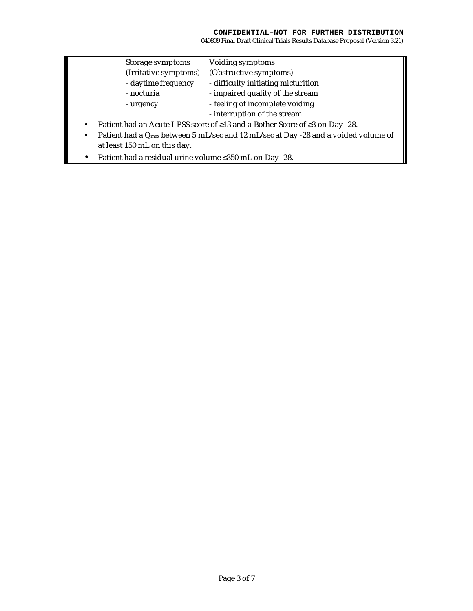|                                                                                                              | Storage symptoms             | Voiding symptoms                    |  |
|--------------------------------------------------------------------------------------------------------------|------------------------------|-------------------------------------|--|
|                                                                                                              | (Irritative symptoms)        | (Obstructive symptoms)              |  |
|                                                                                                              | - daytime frequency          | - difficulty initiating micturition |  |
|                                                                                                              | - nocturia                   | - impaired quality of the stream    |  |
|                                                                                                              | - urgency                    | - feeling of incomplete voiding     |  |
|                                                                                                              |                              | - interruption of the stream        |  |
| Patient had an Acute I-PSS score of $\geq$ 13 and a Bother Score of $\geq$ 3 on Day -28.<br>$\bullet$        |                              |                                     |  |
| Patient had a Q <sub>max</sub> between 5 mL/sec and 12 mL/sec at Day -28 and a voided volume of<br>$\bullet$ |                              |                                     |  |
|                                                                                                              | at least 150 mL on this day. |                                     |  |
|                                                                                                              |                              |                                     |  |

• Patient had a residual urine volume ≤350 mL on Day -28.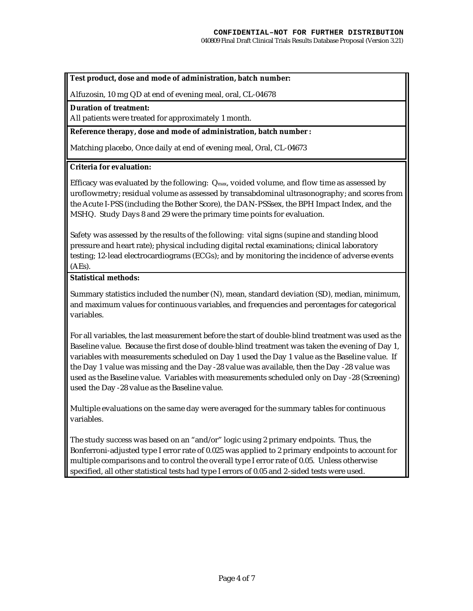#### **Test product, dose and mode of administration, batch number:**

Alfuzosin, 10 mg QD at end of evening meal, oral, CL-04678

#### **Duration of treatment:**

All patients were treated for approximately 1 month.

#### **Reference therapy, dose and mode of administration, batch number :**

Matching placebo, Once daily at end of evening meal, Oral, CL-04673

#### **Criteria for evaluation:**

Efficacy was evaluated by the following: Qmax, voided volume, and flow time as assessed by uroflowmetry; residual volume as assessed by transabdominal ultrasonography; and scores from the Acute I-PSS (including the Bother Score), the DAN-PSSsex, the BPH Impact Index, and the MSHQ. Study Days 8 and 29 were the primary time points for evaluation.

Safety was assessed by the results of the following: vital signs (supine and standing blood pressure and heart rate); physical including digital rectal examinations; clinical laboratory testing; 12-lead electrocardiograms (ECGs); and by monitoring the incidence of adverse events (AEs).

# **Statistical methods:**

Summary statistics included the number (N), mean, standard deviation (SD), median, minimum, and maximum values for continuous variables, and frequencies and percentages for categorical variables.

For all variables, the last measurement before the start of double-blind treatment was used as the Baseline value. Because the first dose of double-blind treatment was taken the evening of Day 1, variables with measurements scheduled on Day 1 used the Day 1 value as the Baseline value. If the Day 1 value was missing and the Day -28 value was available, then the Day -28 value was used as the Baseline value. Variables with measurements scheduled only on Day -28 (Screening) used the Day -28 value as the Baseline value.

Multiple evaluations on the same day were averaged for the summary tables for continuous variables.

The study success was based on an "and/or" logic using 2 primary endpoints. Thus, the Bonferroni-adjusted type I error rate of 0.025 was applied to 2 primary endpoints to account for multiple comparisons and to control the overall type I error rate of 0.05. Unless otherwise specified, all other statistical tests had type I errors of 0.05 and 2-sided tests were used.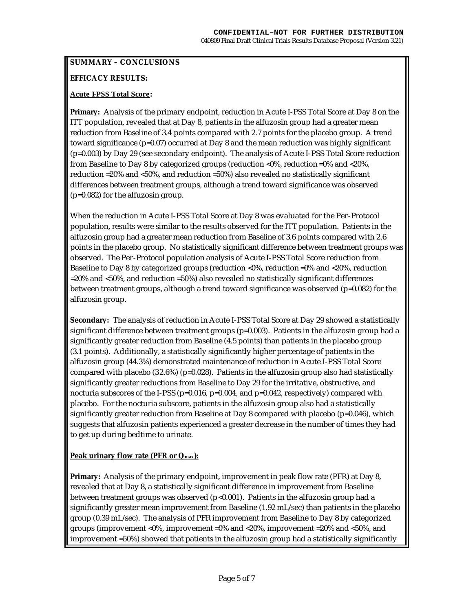## **SUMMARY – CONCLUSIONS**

# **EFFICACY RESULTS:**

## **Acute I-PSS Total Score:**

**Primary:** Analysis of the primary endpoint, reduction in Acute I-PSS Total Score at Day 8 on the ITT population, revealed that at Day 8, patients in the alfuzosin group had a greater mean reduction from Baseline of 3.4 points compared with 2.7 points for the placebo group. A trend toward significance (p=0.07) occurred at Day 8 and the mean reduction was highly significant (p=0.003) by Day 29 (see secondary endpoint). The analysis of Acute I-PSS Total Score reduction from Baseline to Day 8 by categorized groups (reduction <0%, reduction =0% and <20%, reduction =20% and <50%, and reduction =50%) also revealed no statistically significant differences between treatment groups, although a trend toward significance was observed (p=0.082) for the alfuzosin group.

When the reduction in Acute I-PSS Total Score at Day 8 was evaluated for the Per-Protocol population, results were similar to the results observed for the ITT population. Patients in the alfuzosin group had a greater mean reduction from Baseline of 3.6 points compared with 2.6 points in the placebo group. No statistically significant difference between treatment groups was observed. The Per-Protocol population analysis of Acute I-PSS Total Score reduction from Baseline to Day 8 by categorized groups (reduction <0%, reduction =0% and <20%, reduction =20% and <50%, and reduction =50%) also revealed no statistically significant differences between treatment groups, although a trend toward significance was observed (p=0.082) for the alfuzosin group.

**Secondary:** The analysis of reduction in Acute I-PSS Total Score at Day 29 showed a statistically significant difference between treatment groups (p=0.003). Patients in the alfuzosin group had a significantly greater reduction from Baseline (4.5 points) than patients in the placebo group (3.1 points). Additionally, a statistically significantly higher percentage of patients in the alfuzosin group (44.3%) demonstrated maintenance of reduction in Acute I-PSS Total Score compared with placebo  $(32.6\%)$  (p=0.028). Patients in the alfuzosin group also had statistically significantly greater reductions from Baseline to Day 29 for the irritative, obstructive, and nocturia subscores of the I-PSS (p=0.016, p=0.004, and p=0.042, respectively) compared with placebo. For the nocturia subscore, patients in the alfuzosin group also had a statistically significantly greater reduction from Baseline at Day 8 compared with placebo ( $p=0.046$ ), which suggests that alfuzosin patients experienced a greater decrease in the number of times they had to get up during bedtime to urinate.

## **Peak urinary flow rate (PFR or Qmax):**

**Primary:** Analysis of the primary endpoint, improvement in peak flow rate (PFR) at Day 8, revealed that at Day 8, a statistically significant difference in improvement from Baseline between treatment groups was observed (p<0.001). Patients in the alfuzosin group had a significantly greater mean improvement from Baseline (1.92 mL/sec) than patients in the placebo group (0.39 mL/sec). The analysis of PFR improvement from Baseline to Day 8 by categorized groups (improvement <0%, improvement =0% and <20%, improvement =20% and <50%, and improvement =50%) showed that patients in the alfuzosin group had a statistically significantly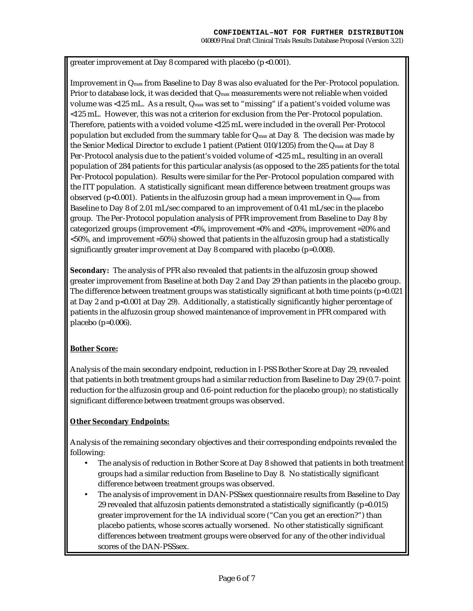greater improvement at Day 8 compared with placebo (p<0.001).

Improvement in Qmax from Baseline to Day 8 was also evaluated for the Per-Protocol population. Prior to database lock, it was decided that Q<sub>max</sub> measurements were not reliable when voided volume was <125 mL. As a result, Qmax was set to "missing" if a patient's voided volume was <125 mL. However, this was not a criterion for exclusion from the Per-Protocol population. Therefore, patients with a voided volume <125 mL were included in the overall Per-Protocol population but excluded from the summary table for  $Q_{\text{max}}$  at Day 8. The decision was made by the Senior Medical Director to exclude 1 patient (Patient 010/1205) from the Qmax at Day 8 Per-Protocol analysis due to the patient's voided volume of <125 mL, resulting in an overall population of 284 patients for this particular analysis (as opposed to the 285 patients for the total Per-Protocol population). Results were similar for the Per-Protocol population compared with the ITT population. A statistically significant mean difference between treatment groups was observed (p<0.001). Patients in the alfuzosin group had a mean improvement in  $Q_{\text{max}}$  from Baseline to Day 8 of 2.01 mL/sec compared to an improvement of 0.41 mL/sec in the placebo group. The Per-Protocol population analysis of PFR improvement from Baseline to Day 8 by categorized groups (improvement <0%, improvement =0% and <20%, improvement =20% and <50%, and improvement =50%) showed that patients in the alfuzosin group had a statistically significantly greater impr ovement at Day 8 compared with placebo (p=0.008).

**Secondary:** The analysis of PFR also revealed that patients in the alfuzosin group showed greater improvement from Baseline at both Day 2 and Day 29 than patients in the placebo group. The difference between treatment groups was statistically significant at both time points  $(p=0.021)$ at Day 2 and p<0.001 at Day 29). Additionally, a statistically significantly higher percentage of patients in the alfuzosin group showed maintenance of improvement in PFR compared with placebo (p=0.006).

## **Bother Score:**

Analysis of the main secondary endpoint, reduction in I-PSS Bother Score at Day 29, revealed that patients in both treatment groups had a similar reduction from Baseline to Day 29 (0.7-point reduction for the alfuzosin group and 0.6-point reduction for the placebo group); no statistically significant difference between treatment groups was observed.

## **Other Secondary Endpoints:**

Analysis of the remaining secondary objectives and their corresponding endpoints revealed the following:

- The analysis of reduction in Bother Score at Day 8 showed that patients in both treatment groups had a similar reduction from Baseline to Day 8. No statistically significant difference between treatment groups was observed.
- The analysis of improvement in DAN-PSSsex questionnaire results from Baseline to Day 29 revealed that alfuzosin patients demonstrated a statistically significantly  $(p=0.015)$ greater improvement for the 1A individual score ("Can you get an erection?") than placebo patients, whose scores actually worsened. No other statistically significant differences between treatment groups were observed for any of the other individual scores of the DAN-PSSsex.